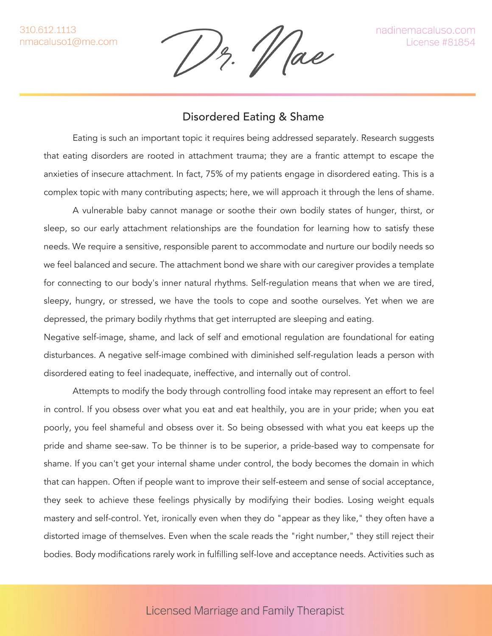'/ ae

## Disordered Eating & Shame

Eating is such an important topic it requires being addressed separately. Research suggests that eating disorders are rooted in attachment trauma; they are a frantic attempt to escape the anxieties of insecure attachment. In fact, 75% of my patients engage in disordered eating. This is a complex topic with many contributing aspects; here, we will approach it through the lens of shame.

A vulnerable baby cannot manage or soothe their own bodily states of hunger, thirst, or sleep, so our early attachment relationships are the foundation for learning how to satisfy these needs. We require a sensitive, responsible parent to accommodate and nurture our bodily needs so we feel balanced and secure. The attachment bond we share with our caregiver provides a template for connecting to our body's inner natural rhythms. Self-regulation means that when we are tired, sleepy, hungry, or stressed, we have the tools to cope and soothe ourselves. Yet when we are depressed, the primary bodily rhythms that get interrupted are sleeping and eating.

Negative self-image, shame, and lack of self and emotional regulation are foundational for eating disturbances. A negative self-image combined with diminished self-regulation leads a person with disordered eating to feel inadequate, ineffective, and internally out of control.

Attempts to modify the body through controlling food intake may represent an effort to feel in control. If you obsess over what you eat and eat healthily, you are in your pride; when you eat poorly, you feel shameful and obsess over it. So being obsessed with what you eat keeps up the pride and shame see-saw. To be thinner is to be superior, a pride-based way to compensate for shame. If you can't get your internal shame under control, the body becomes the domain in which that can happen. Often if people want to improve their self-esteem and sense of social acceptance, they seek to achieve these feelings physically by modifying their bodies. Losing weight equals mastery and self-control. Yet, ironically even when they do "appear as they like," they often have a distorted image of themselves. Even when the scale reads the "right number," they still reject their bodies. Body modifications rarely work in fulfilling self-love and acceptance needs. Activities such as